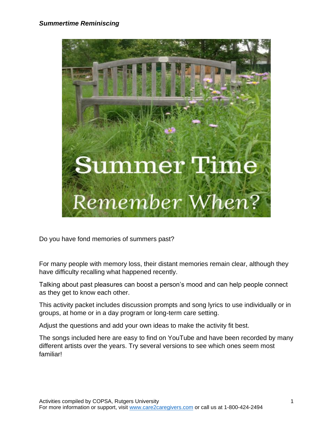

Do you have fond memories of summers past?

For many people with memory loss, their distant memories remain clear, although they have difficulty recalling what happened recently.

Talking about past pleasures can boost a person's mood and can help people connect as they get to know each other.

This activity packet includes discussion prompts and song lyrics to use individually or in groups, at home or in a day program or long-term care setting.

Adjust the questions and add your own ideas to make the activity fit best.

The songs included here are easy to find on YouTube and have been recorded by many different artists over the years. Try several versions to see which ones seem most familiar!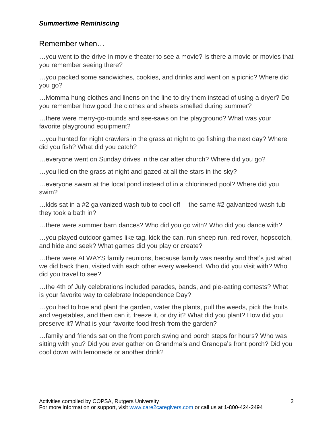## Remember when…

…you went to the drive-in movie theater to see a movie? Is there a movie or movies that you remember seeing there?

…you packed some sandwiches, cookies, and drinks and went on a picnic? Where did you go?

…Momma hung clothes and linens on the line to dry them instead of using a dryer? Do you remember how good the clothes and sheets smelled during summer?

…there were merry-go-rounds and see-saws on the playground? What was your favorite playground equipment?

…you hunted for night crawlers in the grass at night to go fishing the next day? Where did you fish? What did you catch?

…everyone went on Sunday drives in the car after church? Where did you go?

…you lied on the grass at night and gazed at all the stars in the sky?

…everyone swam at the local pond instead of in a chlorinated pool? Where did you swim?

…kids sat in a #2 galvanized wash tub to cool off— the same #2 galvanized wash tub they took a bath in?

…there were summer barn dances? Who did you go with? Who did you dance with?

…you played outdoor games like tag, kick the can, run sheep run, red rover, hopscotch, and hide and seek? What games did you play or create?

…there were ALWAYS family reunions, because family was nearby and that's just what we did back then, visited with each other every weekend. Who did you visit with? Who did you travel to see?

…the 4th of July celebrations included parades, bands, and pie-eating contests? What is your favorite way to celebrate Independence Day?

…you had to hoe and plant the garden, water the plants, pull the weeds, pick the fruits and vegetables, and then can it, freeze it, or dry it? What did you plant? How did you preserve it? What is your favorite food fresh from the garden?

…family and friends sat on the front porch swing and porch steps for hours? Who was sitting with you? Did you ever gather on Grandma's and Grandpa's front porch? Did you cool down with lemonade or another drink?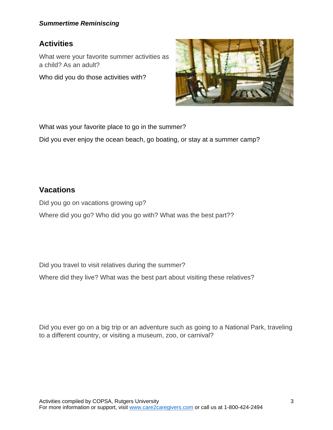# **Activities**

What were your favorite summer activities as a child? As an adult?

Who did you do those activities with?



What was your favorite place to go in the summer?

Did you ever enjoy the ocean beach, go boating, or stay at a summer camp?

# **Vacations**

Did you go on vacations growing up?

Where did you go? Who did you go with? What was the best part??

Did you travel to visit relatives during the summer?

Where did they live? What was the best part about visiting these relatives?

Did you ever go on a big trip or an adventure such as going to a National Park, traveling to a different country, or visiting a museum, zoo, or carnival?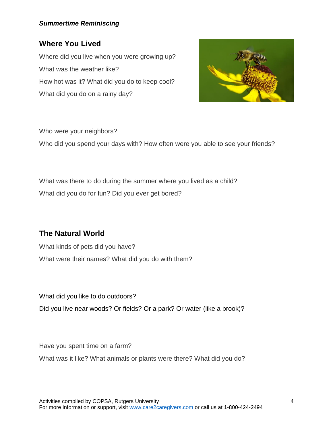# **Where You Lived**

Where did you live when you were growing up? What was the weather like? How hot was it? What did you do to keep cool? What did you do on a rainy day?



Who were your neighbors? Who did you spend your days with? How often were you able to see your friends?

What was there to do during the summer where you lived as a child? What did you do for fun? Did you ever get bored?

# **The Natural World**

What kinds of pets did you have? What were their names? What did you do with them?

What did you like to do outdoors? Did you live near woods? Or fields? Or a park? Or water (like a brook)?

Have you spent time on a farm? What was it like? What animals or plants were there? What did you do?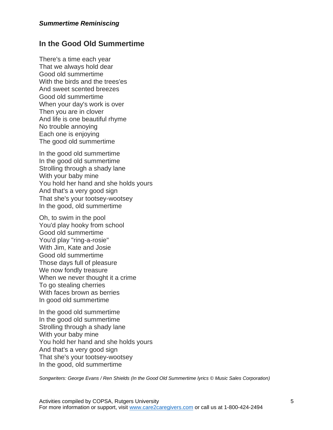## **In the Good Old Summertime**

There's a time each year That we always hold dear Good old summertime With the birds and the trees'es And sweet scented breezes Good old summertime When your day's work is over Then you are in clover And life is one beautiful rhyme No trouble annoying Each one is enjoying The good old summertime

In the good old summertime In the good old summertime Strolling through a shady lane With your baby mine You hold her hand and she holds yours And that's a very good sign That she's your tootsey-wootsey In the good, old summertime

Oh, to swim in the pool You'd play hooky from school Good old summertime You'd play "ring-a-rosie" With Jim, Kate and Josie Good old summertime Those days full of pleasure We now fondly treasure When we never thought it a crime To go stealing cherries With faces brown as berries In good old summertime

In the good old summertime In the good old summertime Strolling through a shady lane With your baby mine You hold her hand and she holds yours And that's a very good sign That she's your tootsey-wootsey In the good, old summertime

*Songwriters: George Evans / Ren Shields (In the Good Old Summertime lyrics © Music Sales Corporation)*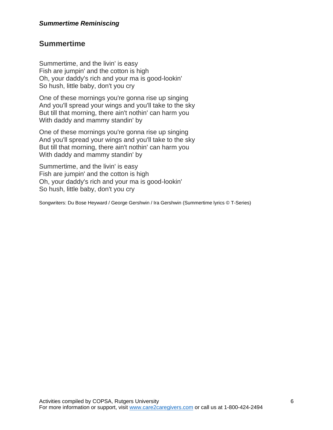## **Summertime**

Summertime, and the livin' is easy Fish are jumpin' and the cotton is high Oh, your daddy's rich and your ma is good-lookin' So hush, little baby, don't you cry

One of these mornings you're gonna rise up singing And you'll spread your wings and you'll take to the sky But till that morning, there ain't nothin' can harm you With daddy and mammy standin' by

One of these mornings you're gonna rise up singing And you'll spread your wings and you'll take to the sky But till that morning, there ain't nothin' can harm you With daddy and mammy standin' by

Summertime, and the livin' is easy Fish are jumpin' and the cotton is high Oh, your daddy's rich and your ma is good-lookin' So hush, little baby, don't you cry

Songwriters: Du Bose Heyward / George Gershwin / Ira Gershwin (Summertime lyrics © T-Series)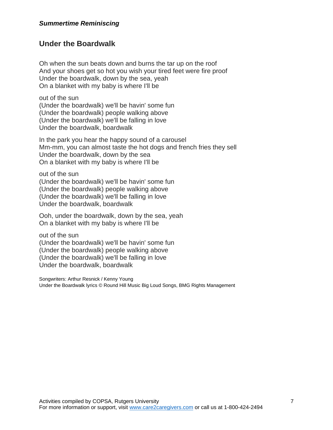## **Under the Boardwalk**

Oh when the sun beats down and burns the tar up on the roof And your shoes get so hot you wish your tired feet were fire proof Under the boardwalk, down by the sea, yeah On a blanket with my baby is where I'll be

out of the sun (Under the boardwalk) we'll be havin' some fun (Under the boardwalk) people walking above (Under the boardwalk) we'll be falling in love Under the boardwalk, boardwalk

In the park you hear the happy sound of a carousel Mm-mm, you can almost taste the hot dogs and french fries they sell Under the boardwalk, down by the sea On a blanket with my baby is where I'll be

out of the sun (Under the boardwalk) we'll be havin' some fun (Under the boardwalk) people walking above (Under the boardwalk) we'll be falling in love Under the boardwalk, boardwalk

Ooh, under the boardwalk, down by the sea, yeah On a blanket with my baby is where I'll be

out of the sun (Under the boardwalk) we'll be havin' some fun (Under the boardwalk) people walking above (Under the boardwalk) we'll be falling in love Under the boardwalk, boardwalk

Songwriters: Arthur Resnick / Kenny Young Under the Boardwalk lyrics © Round Hill Music Big Loud Songs, BMG Rights Management